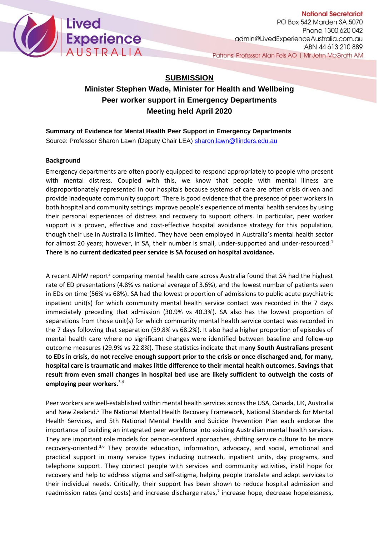

**National Secretariat** PO Box 542 Marden SA 5070 Phone 1300 620 042 admin@LivedExperienceAustralia.com.au ABN 44 613 210 889 Patrons: Professor Alan Fels AO | Mr John McGrath AM

# **SUBMISSION**

# **Minister Stephen Wade, Minister for Health and Wellbeing Peer worker support in Emergency Departments Meeting held April 2020**

### **Summary of Evidence for Mental Health Peer Support in Emergency Departments**

Source: Professor Sharon Lawn (Deputy Chair LEA) [sharon.lawn@flinders.edu.au](mailto:sharon.lawn@flinders.edu.au)

#### **Background**

Emergency departments are often poorly equipped to respond appropriately to people who present with mental distress. Coupled with this, we know that people with mental illness are disproportionately represented in our hospitals because systems of care are often crisis driven and provide inadequate community support. There is good evidence that the presence of peer workers in both hospital and community settings improve people's experience of mental health services by using their personal experiences of distress and recovery to support others. In particular, peer worker support is a proven, effective and cost-effective hospital avoidance strategy for this population, though their use in Australia is limited. They have been employed in Australia's mental health sector for almost 20 years; however, in SA, their number is small, under-supported and under-resourced.<sup>1</sup> **There is no current dedicated peer service is SA focused on hospital avoidance.** 

A recent AIHW report<sup>2</sup> comparing mental health care across Australia found that SA had the highest rate of ED presentations (4.8% vs national average of 3.6%), and the lowest number of patients seen in EDs on time (56% vs 68%). SA had the lowest proportion of admissions to public acute psychiatric inpatient unit(s) for which community mental health service contact was recorded in the 7 days immediately preceding that admission (30.9% vs 40.3%). SA also has the lowest proportion of separations from those unit(s) for which community mental health service contact was recorded in the 7 days following that separation (59.8% vs 68.2%). It also had a higher proportion of episodes of mental health care where no significant changes were identified between baseline and follow-up outcome measures (29.9% vs 22.8%). These statistics indicate that m**any South Australians present to EDs in crisis, do not receive enough support prior to the crisis or once discharged and, for many, hospital care is traumatic and makes little difference to their mental health outcomes. Savings that result from even small changes in hospital bed use are likely sufficient to outweigh the costs of employing peer workers.**3,4

Peer workers are well-established within mental health services across the USA, Canada, UK, Australia and New Zealand.<sup>5</sup> The National Mental Health Recovery Framework, National Standards for Mental Health Services, and 5th National Mental Health and Suicide Prevention Plan each endorse the importance of building an integrated peer workforce into existing Australian mental health services. They are important role models for person-centred approaches, shifting service culture to be more recovery-oriented.3,6 They provide education, information, advocacy, and social, emotional and practical support in many service types including outreach, inpatient units, day programs, and telephone support. They connect people with services and community activities, instil hope for recovery and help to address stigma and self-stigma, helping people translate and adapt services to their individual needs. Critically, their support has been shown to reduce hospital admission and readmission rates (and costs) and increase discharge rates, $<sup>7</sup>$  increase hope, decrease hopelessness,</sup>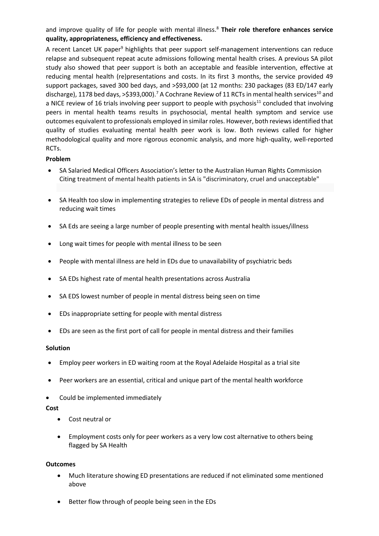and improve quality of life for people with mental illness.<sup>8</sup> Their role therefore enhances service **quality, appropriateness, efficiency and effectiveness.**

A recent Lancet UK paper<sup>9</sup> highlights that peer support self-management interventions can reduce relapse and subsequent repeat acute admissions following mental health crises. A previous SA pilot study also showed that peer support is both an acceptable and feasible intervention, effective at reducing mental health (re)presentations and costs. In its first 3 months, the service provided 49 support packages, saved 300 bed days, and >\$93,000 (at 12 months: 230 packages (83 ED/147 early discharge), 1178 bed days, >\$393,000).<sup>7</sup> A Cochrane Review of 11 RCTs in mental health services<sup>10</sup> and a NICE review of 16 trials involving peer support to people with psychosis<sup>11</sup> concluded that involving peers in mental health teams results in psychosocial, mental health symptom and service use outcomes equivalent to professionals employed in similar roles. However, both reviews identified that quality of studies evaluating mental health peer work is low. Both reviews called for higher methodological quality and more rigorous economic analysis, and more high-quality, well-reported RCTs.

#### **Problem**

- SA Salaried Medical Officers Association's letter to the Australian Human Rights Commission Citing treatment of mental health patients in SA is "discriminatory, cruel and unacceptable"
- SA Health too slow in implementing strategies to relieve EDs of people in mental distress and reducing wait times
- SA Eds are seeing a large number of people presenting with mental health issues/illness
- Long wait times for people with mental illness to be seen
- People with mental illness are held in EDs due to unavailability of psychiatric beds
- SA EDs highest rate of mental health presentations across Australia
- SA EDS lowest number of people in mental distress being seen on time
- EDs inappropriate setting for people with mental distress
- EDs are seen as the first port of call for people in mental distress and their families

#### **Solution**

- Employ peer workers in ED waiting room at the Royal Adelaide Hospital as a trial site
- Peer workers are an essential, critical and unique part of the mental health workforce
- Could be implemented immediately

#### **Cost**

- Cost neutral or
- Employment costs only for peer workers as a very low cost alternative to others being flagged by SA Health

#### **Outcomes**

- Much literature showing ED presentations are reduced if not eliminated some mentioned above
- Better flow through of people being seen in the EDs